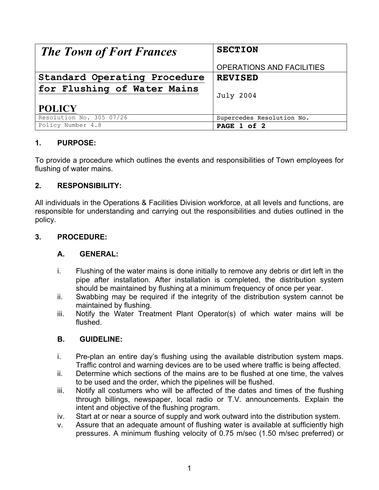| <b>The Town of Fort Frances</b> | <b>SECTION</b>            |  |  |
|---------------------------------|---------------------------|--|--|
|                                 |                           |  |  |
|                                 | OPERATIONS AND FACILITIES |  |  |
| Standard Operating Procedure    | <b>REVISED</b>            |  |  |
| for Flushing of Water Mains     |                           |  |  |
|                                 | <b>July 2004</b>          |  |  |
| <b>POLICY</b>                   |                           |  |  |
| Resolution No. 305 07/26        | Supercedes Resolution No. |  |  |
| Policy Number 4.8               | PAGE 1 of 2               |  |  |

# **1. PURPOSE:**

To provide a procedure which outlines the events and responsibilities of Town employees for flushing of water mains.

## **2. RESPONSIBILITY:**

All individuals in the Operations & Facilities Division workforce, at all levels and functions, are responsible for understanding and carrying out the responsibilities and duties outlined in the policy.

### **3. PROCEDURE:**

#### **A. GENERAL:**

- i. Flushing of the water mains is done initially to remove any debris or dirt left in the pipe after installation. After installation is completed, the distribution system should be maintained by flushing at a minimum frequency of once per year.
- ii. Swabbing may be required if the integrity of the distribution system cannot be maintained by flushing.
- iii. Notify the Water Treatment Plant Operator(s) of which water mains will be flushed.

#### **B. GUIDELINE:**

- i. Pre-plan an entire day's flushing using the available distribution system maps. Traffic control and warning devices are to be used where traffic is being affected.
- ii. Determine which sections of the mains are to be flushed at one time, the valves to be used and the order, which the pipelines will be flushed.
- iii. Notify all costumers who will be affected of the dates and times of the flushing through billings, newspaper, local radio or T.V. announcements. Explain the intent and objective of the flushing program.
- iv. Start at or near a source of supply and work outward into the distribution system.
- v. Assure that an adequate amount of flushing water is available at sufficiently high pressures. A minimum flushing velocity of 0.75 m/sec (1.50 m/sec preferred) or